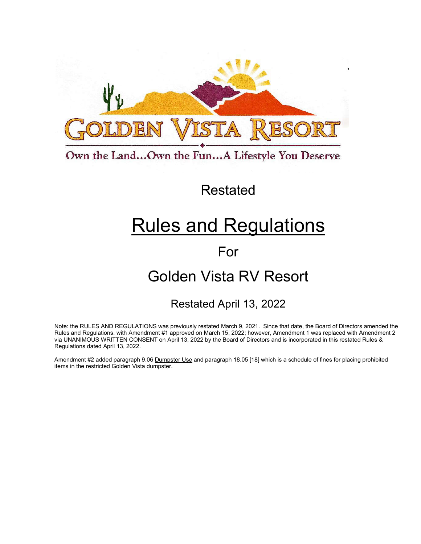

Own the Land...Own the Fun...A Lifestyle You Deserve

## Restated

# Rules and Regulations

## For

## Golden Vista RV Resort

## Restated April 13, 2022

Note: the RULES AND REGULATIONS was previously restated March 9, 2021. Since that date, the Board of Directors amended the Rules and Regulations. with Amendment #1 approved on March 15, 2022; however, Amendment 1 was replaced with Amendment 2 via UNANIMOUS WRITTEN CONSENT on April 13, 2022 by the Board of Directors and is incorporated in this restated Rules & Regulations dated April 13, 2022.

Amendment #2 added paragraph 9.06 Dumpster Use and paragraph 18.05 [18] which is a schedule of fines for placing prohibited items in the restricted Golden Vista dumpster.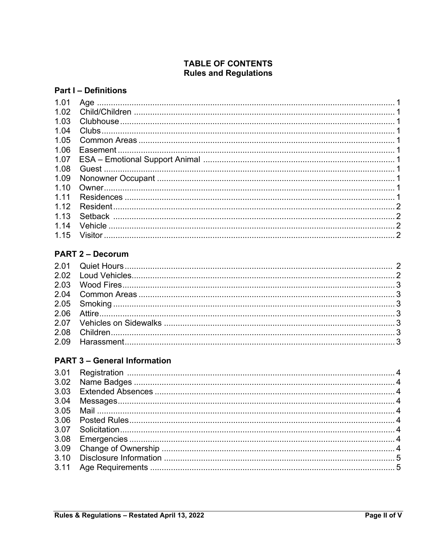## **TABLE OF CONTENTS Rules and Regulations**

#### **Part I - Definitions**

| 1.01 |  |
|------|--|
| 1.02 |  |
| 1.03 |  |
| 1.04 |  |
| 1.05 |  |
| 1.06 |  |
| 1.07 |  |
| 1.08 |  |
| 1.09 |  |
| 1.10 |  |
| 1.11 |  |
| 1.12 |  |
| 1.13 |  |
| 1.14 |  |
|      |  |
|      |  |

## **PART 2 - Decorum**

## **PART 3 - General Information**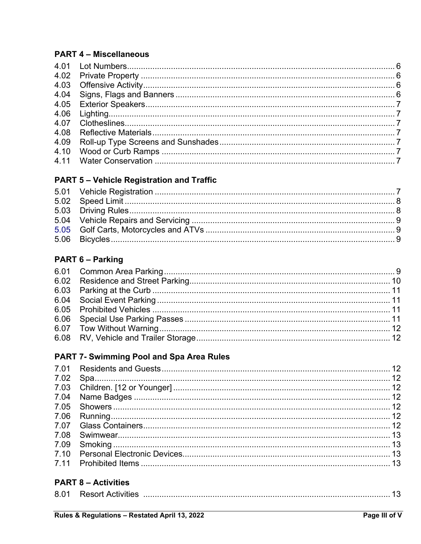### **PART 4 - Miscellaneous**

## **PART 5 - Vehicle Registration and Traffic**

## **PART 6 - Parking**

## PART 7- Swimming Pool and Spa Area Rules

## **PART 8 - Activities**

| 8.01 |  |  |  |  |
|------|--|--|--|--|
|------|--|--|--|--|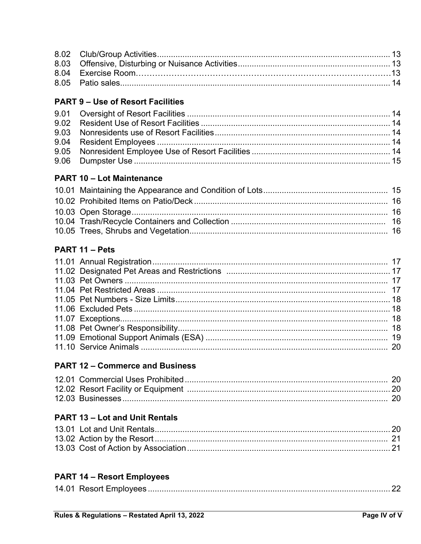### **PART 9 - Use of Resort Facilities**

## **PART 10 - Lot Maintenance**

## PART 11 - Pets

## **PART 12 - Commerce and Business**

## **PART 13 - Lot and Unit Rentals**

## **PART 14 - Resort Employees**

|--|--|--|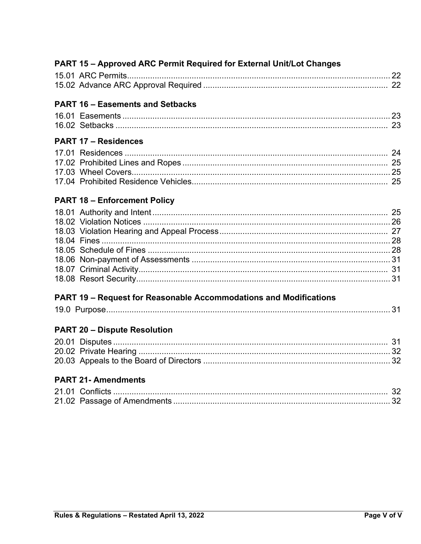## PART 15 - Approved ARC Permit Required for External Unit/Lot Changes

## **PART 16 - Easements and Setbacks**

| 16.01 Easements |  |
|-----------------|--|
|                 |  |

## **PART 17 - Residences**

#### **PART 18 - Enforcement Policy**

### PART 19 - Request for Reasonable Accommodations and Modifications

|--|--|--|--|

## **PART 20 - Dispute Resolution**

## **PART 21- Amendments**

| 21.01 Conflicts |  |
|-----------------|--|
|                 |  |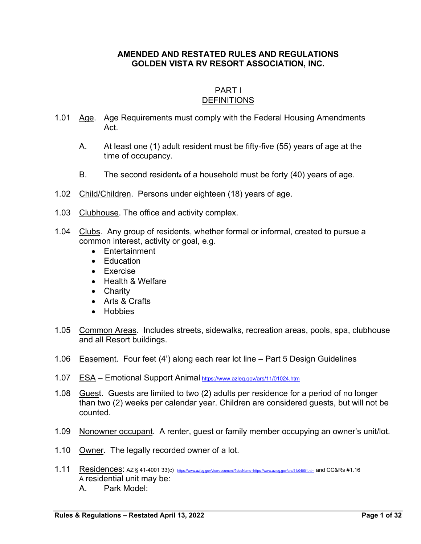#### **AMENDED AND RESTATED RULES AND REGULATIONS GOLDEN VISTA RV RESORT ASSOCIATION, INC.**

#### PART I DEFINITIONS

- 1.01 Age. Age Requirements must comply with the Federal Housing Amendments Act.
	- A. At least one (1) adult resident must be fifty-five (55) years of age at the time of occupancy.
	- B. The second resident*<sup>s</sup>* of a household must be forty (40) years of age.
- 1.02 Child/Children. Persons under eighteen (18) years of age.
- 1.03 Clubhouse. The office and activity complex.
- 1.04 Clubs. Any group of residents, whether formal or informal, created to pursue a common interest, activity or goal, e.g.
	- Entertainment
	- Education
	- Exercise
	- Health & Welfare
	- Charity
	- Arts & Crafts
	- **•** Hobbies
- 1.05 Common Areas. Includes streets, sidewalks, recreation areas, pools, spa, clubhouse and all Resort buildings.
- 1.06 Easement. Four feet (4') along each rear lot line Part 5 Design Guidelines
- 1.07 ESA Emotional Support Animal https://www.azleg.gov/ars/11/01024.htm
- 1.08 Guest. Guests are limited to two (2) adults per residence for a period of no longer than two (2) weeks per calendar year. Children are considered guests, but will not be counted.
- 1.09 Nonowner occupant. A renter, guest or family member occupying an owner's unit/lot.
- 1.10 Owner. The legally recorded owner of a lot.
- 1.11 Residences: AZ § 41-4001 33(c) https://www.azleg.gov/viewdocument/?docName=https://www.azleg.gov/ars/41/04001.htm and CC&Rs #1.16 A residential unit may be: A. Park Model: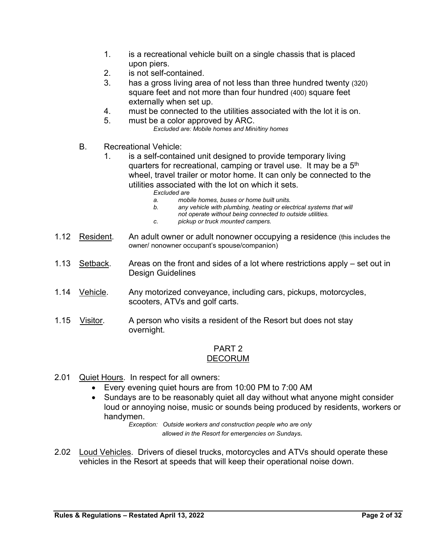- 1. is a recreational vehicle built on a single chassis that is placed upon piers.
- 2. is not self-contained.
- 3. has a gross living area of not less than three hundred twenty (320) square feet and not more than four hundred (400) square feet externally when set up.
- 4. must be connected to the utilities associated with the lot it is on.
- 5. must be a color approved by ARC. *Excluded are: Mobile homes and Mini/tiny homes*
- B. Recreational Vehicle:
	- 1. is a self-contained unit designed to provide temporary living quarters for recreational, camping or travel use. It may be a 5<sup>th</sup> wheel, travel trailer or motor home. It can only be connected to the utilities associated with the lot on which it sets.
		- *Excluded are*
		- *a. mobile homes, buses or home built units.*
		- *b. any vehicle with plumbing, heating or electrical systems that will* 
			- *not operate without being connected to outside utilities.*
		- *c. pickup or truck mounted campers.*
- 1.12 Resident. An adult owner or adult nonowner occupying a residence (this includes the owner/ nonowner occupant's spouse/companion)
- 1.13 Setback. Areas on the front and sides of a lot where restrictions apply set out in Design Guidelines
- 1.14 Vehicle. Any motorized conveyance, including cars, pickups, motorcycles, scooters, ATVs and golf carts.
- 1.15 <u>Visitor</u>. A person who visits a resident of the Resort but does not stay overnight.

#### PART 2 DECORUM

- 2.01 Quiet Hours. In respect for all owners:
	- Every evening quiet hours are from 10:00 PM to 7:00 AM
	- Sundays are to be reasonably quiet all day without what anyone might consider loud or annoying noise, music or sounds being produced by residents, workers or handymen.

*Exception: Outside workers and construction people who are only allowed in the Resort for emergencies on Sundays.* 

2.02 Loud Vehicles. Drivers of diesel trucks, motorcycles and ATVs should operate these vehicles in the Resort at speeds that will keep their operational noise down.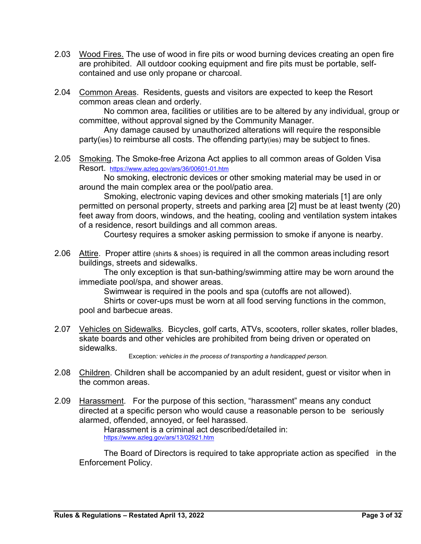- 2.03 Wood Fires. The use of wood in fire pits or wood burning devices creating an open fire are prohibited. All outdoor cooking equipment and fire pits must be portable, selfcontained and use only propane or charcoal.
- 2.04 Common Areas. Residents, guests and visitors are expected to keep the Resort common areas clean and orderly.

No common area, facilities or utilities are to be altered by any individual, group or committee, without approval signed by the Community Manager.

Any damage caused by unauthorized alterations will require the responsible party(ies) to reimburse all costs. The offending party(ies) may be subject to fines.

2.05 Smoking. The Smoke-free Arizona Act applies to all common areas of Golden Visa Resort. https://www.azleg.gov/ars/36/00601-01.htm

No smoking, electronic devices or other smoking material may be used in or around the main complex area or the pool/patio area.

Smoking, electronic vaping devices and other smoking materials [1] are only permitted on personal property, streets and parking area [2] must be at least twenty (20) feet away from doors, windows, and the heating, cooling and ventilation system intakes of a residence, resort buildings and all common areas.

Courtesy requires a smoker asking permission to smoke if anyone is nearby.

2.06 Attire. Proper attire (shirts & shoes) is required in all the common areas including resort buildings, streets and sidewalks.

The only exception is that sun-bathing/swimming attire may be worn around the immediate pool/spa, and shower areas.

Swimwear is required in the pools and spa (cutoffs are not allowed).

Shirts or cover-ups must be worn at all food serving functions in the common, pool and barbecue areas.

2.07 Vehicles on Sidewalks. Bicycles, golf carts, ATVs, scooters, roller skates, roller blades, skate boards and other vehicles are prohibited from being driven or operated on sidewalks.

Exception*: vehicles in the process of transporting a handicapped person.*

- 2.08 Children. Children shall be accompanied by an adult resident, guest or visitor when in the common areas.
- 2.09 Harassment. For the purpose of this section, "harassment" means any conduct directed at a specific person who would cause a reasonable person to be seriously alarmed, offended, annoyed, or feel harassed.

Harassment is a criminal act described/detailed in: https://www.azleg.gov/ars/13/02921.htm

The Board of Directors is required to take appropriate action as specified in the Enforcement Policy.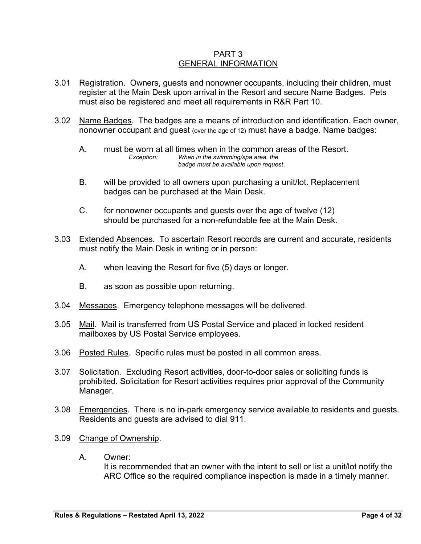#### PART 3 GENERAL INFORMATION

- 3.01 Registration. Owners, guests and nonowner occupants, including their children, must register at the Main Desk upon arrival in the Resort and secure Name Badges. Pets must also be registered and meet all requirements in R&R Part 10.
- 3.02 Name Badges. The badges are a means of introduction and identification. Each owner, nonowner occupant and guest (over the age of 12) must have a badge. Name badges:
	- A. must be worn at all times when in the common areas of the Resort. *Exception: When in the swimming/spa area, the badge must be available upon request*.
	- B. will be provided to all owners upon purchasing a unit/lot. Replacement badges can be purchased at the Main Desk.
	- C. for nonowner occupants and guests over the age of twelve (12) should be purchased for a non-refundable fee at the Main Desk.
- 3.03 Extended Absences. To ascertain Resort records are current and accurate, residents must notify the Main Desk in writing or in person:
	- A. when leaving the Resort for five (5) days or longer.
	- B. as soon as possible upon returning.
- 3.04 Messages. Emergency telephone messages will be delivered.
- 3.05 Mail. Mail is transferred from US Postal Service and placed in locked resident mailboxes by US Postal Service employees.
- 3.06 Posted Rules. Specific rules must be posted in all common areas.
- 3.07 Solicitation. Excluding Resort activities, door-to-door sales or soliciting funds is prohibited. Solicitation for Resort activities requires prior approval of the Community Manager.
- 3.08 Emergencies. There is no in-park emergency service available to residents and guests. Residents and guests are advised to dial 911.
- 3.09 Change of Ownership.
	- A. Owner:

It is recommended that an owner with the intent to sell or list a unit/lot notify the ARC Office so the required compliance inspection is made in a timely manner.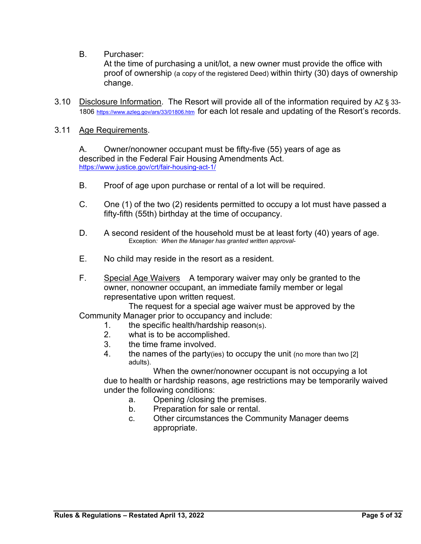B. Purchaser:

At the time of purchasing a unit/lot, a new owner must provide the office with proof of ownership (a copy of the registered Deed) within thirty (30) days of ownership change.

3.10 Disclosure Information. The Resort will provide all of the information required by AZ § 33- 1806 https://www.azleg.gov/ars/33/01806.htm for each lot resale and updating of the Resort's records.

#### 3.11 Age Requirements.

A. Owner/nonowner occupant must be fifty-five (55) years of age as described in the Federal Fair Housing Amendments Act. https://www.justice.gov/crt/fair-housing-act-1/

- B. Proof of age upon purchase or rental of a lot will be required.
- C. One (1) of the two (2) residents permitted to occupy a lot must have passed a fifty-fifth (55th) birthday at the time of occupancy.
- D. A second resident of the household must be at least forty (40) years of age. Exception*: When the Manager has granted written approval-*
- E. No child may reside in the resort as a resident.
- F. Special Age Waivers A temporary waiver may only be granted to the owner, nonowner occupant, an immediate family member or legal representative upon written request.

The request for a special age waiver must be approved by the Community Manager prior to occupancy and include:

- 1. the specific health/hardship reason(s).
- 2. what is to be accomplished.
- 3. the time frame involved.
- 4. the names of the party(ies) to occupy the unit (no more than two [2] adults).

When the owner/nonowner occupant is not occupying a lot due to health or hardship reasons, age restrictions may be temporarily waived under the following conditions:

- a. Opening /closing the premises.
- b. Preparation for sale or rental.
- c. Other circumstances the Community Manager deems appropriate.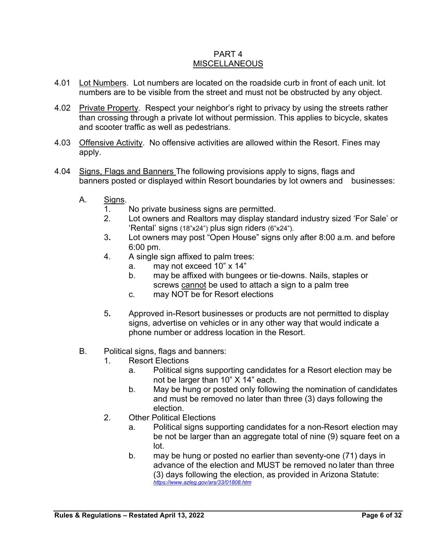#### PART 4 MISCELLANEOUS

- 4.01 Lot Numbers. Lot numbers are located on the roadside curb in front of each unit. lot numbers are to be visible from the street and must not be obstructed by any object.
- 4.02 Private Property. Respect your neighbor's right to privacy by using the streets rather than crossing through a private lot without permission. This applies to bicycle, skates and scooter traffic as well as pedestrians.
- 4.03 Offensive Activity. No offensive activities are allowed within the Resort. Fines may apply.
- 4.04 Signs, Flags and Banners The following provisions apply to signs, flags and banners posted or displayed within Resort boundaries by lot owners and businesses:
	- A. Signs.
		- 1. No private business signs are permitted.
		- 2. Lot owners and Realtors may display standard industry sized 'For Sale' or 'Rental' signs (18"x24") plus sign riders (6"x24").
		- 3**.** Lot owners may post "Open House" signs only after 8:00 a.m. and before 6:00 pm.
		- 4. A single sign affixed to palm trees:
			- a. may not exceed 10" x 14"
			- b. may be affixed with bungees or tie-downs. Nails, staples or screws cannot be used to attach a sign to a palm tree
			- c. may NOT be for Resort elections
		- 5**.** Approved in-Resort businesses or products are not permitted to display signs, advertise on vehicles or in any other way that would indicate a phone number or address location in the Resort.
	- B. Political signs, flags and banners:
		- 1. Resort Elections
			- a. Political signs supporting candidates for a Resort election may be not be larger than 10" X 14" each.
			- b. May be hung or posted only following the nomination of candidates and must be removed no later than three (3) days following the election.
		- 2. Other Political Flections
			- a. Political signs supporting candidates for a non-Resort election may be not be larger than an aggregate total of nine (9) square feet on a lot.
			- b. may be hung or posted no earlier than seventy-one (71) days in advance of the election and MUST be removed no later than three (3) days following the election, as provided in Arizona Statute: *https://www.azleg.gov/ars/33/01808.htm*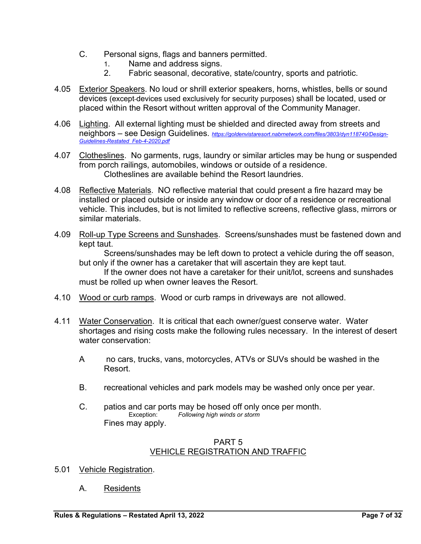- C. Personal signs, flags and banners permitted.
	- 1. Name and address signs.
	- 2. Fabric seasonal, decorative, state/country, sports and patriotic.
- 4.05 Exterior Speakers. No loud or shrill exterior speakers, horns, whistles, bells or sound devices (except devices used exclusively for security purposes) shall be located, used or placed within the Resort without written approval of the Community Manager.
- 4.06 Lighting. All external lighting must be shielded and directed away from streets and neighbors – see Design Guidelines. *https://goldenvistaresort.nabrnetwork.com/files/3803/dyn118740/Design-Guidelines-Restated\_Feb-4-2020.pdf*
- 4.07 Clotheslines. No garments, rugs, laundry or similar articles may be hung or suspended from porch railings, automobiles, windows or outside of a residence. Clotheslines are available behind the Resort laundries.
- 4.08 Reflective Materials. NO reflective material that could present a fire hazard may be installed or placed outside or inside any window or door of a residence or recreational vehicle. This includes, but is not limited to reflective screens, reflective glass, mirrors or similar materials.
- 4.09 Roll-up Type Screens and Sunshades. Screens/sunshades must be fastened down and kept taut.

Screens/sunshades may be left down to protect a vehicle during the off season, but only if the owner has a caretaker that will ascertain they are kept taut.

If the owner does not have a caretaker for their unit/lot, screens and sunshades must be rolled up when owner leaves the Resort.

- 4.10 Wood or curb ramps. Wood or curb ramps in driveways are not allowed.
- 4.11 Water Conservation. It is critical that each owner/guest conserve water. Water shortages and rising costs make the following rules necessary. In the interest of desert water conservation:
	- A no cars, trucks, vans, motorcycles, ATVs or SUVs should be washed in the Resort.
	- B. recreational vehicles and park models may be washed only once per year.
	- C. patios and car ports may be hosed off only once per month.<br>Exception: Following high winds or storm Following high winds or storm Fines may apply.

#### PART 5 VEHICLE REGISTRATION AND TRAFFIC

- 5.01 Vehicle Registration.
	- A. Residents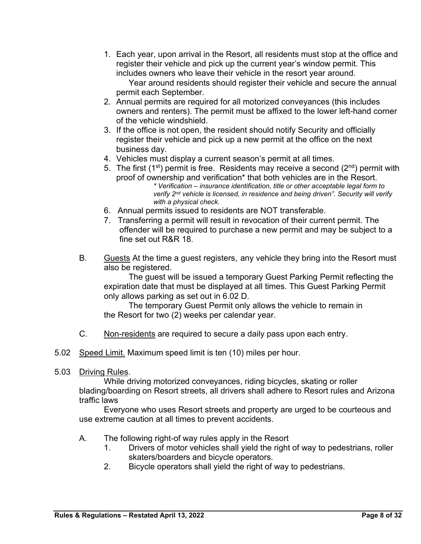1. Each year, upon arrival in the Resort, all residents must stop at the office and register their vehicle and pick up the current year's window permit. This includes owners who leave their vehicle in the resort year around.

Year around residents should register their vehicle and secure the annual permit each September.

- 2. Annual permits are required for all motorized conveyances (this includes owners and renters). The permit must be affixed to the lower left-hand corner of the vehicle windshield.
- 3. If the office is not open, the resident should notify Security and officially register their vehicle and pick up a new permit at the office on the next business day.
- 4. Vehicles must display a current season's permit at all times.
- 5. The first (1<sup>st</sup>) permit is free. Residents may receive a second ( $2<sup>nd</sup>$ ) permit with proof of ownership and verification\* that both vehicles are in the Resort. *\* Verification – insurance identification, title or other acceptable legal form to verify 2nd vehicle is licensed, in residence and being driven". Security will verify with a physical check.*
- 6. Annual permits issued to residents are NOT transferable.
- 7. Transferring a permit will result in revocation of their current permit. The offender will be required to purchase a new permit and may be subject to a fine set out R&R 18.
- B. Guests At the time a guest registers, any vehicle they bring into the Resort must also be registered.

The guest will be issued a temporary Guest Parking Permit reflecting the expiration date that must be displayed at all times. This Guest Parking Permit only allows parking as set out in 6.02 D.

The temporary Guest Permit only allows the vehicle to remain in the Resort for two (2) weeks per calendar year.

- C. Non-residents are required to secure a daily pass upon each entry.
- 5.02 Speed Limit. Maximum speed limit is ten (10) miles per hour.
- 5.03 Driving Rules.

While driving motorized conveyances, riding bicycles, skating or roller blading/boarding on Resort streets, all drivers shall adhere to Resort rules and Arizona traffic laws

Everyone who uses Resort streets and property are urged to be courteous and use extreme caution at all times to prevent accidents.

- A. The following right-of way rules apply in the Resort
	- 1. Drivers of motor vehicles shall yield the right of way to pedestrians, roller skaters/boarders and bicycle operators.
	- 2. Bicycle operators shall yield the right of way to pedestrians.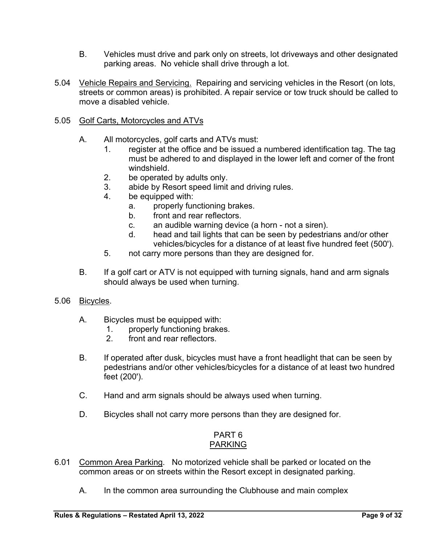- B. Vehicles must drive and park only on streets, lot driveways and other designated parking areas. No vehicle shall drive through a lot.
- 5.04 Vehicle Repairs and Servicing. Repairing and servicing vehicles in the Resort (on lots, streets or common areas) is prohibited. A repair service or tow truck should be called to move a disabled vehicle.

#### 5.05 Golf Carts, Motorcycles and ATVs

- A. All motorcycles, golf carts and ATVs must:
	- 1. register at the office and be issued a numbered identification tag. The tag must be adhered to and displayed in the lower left and corner of the front windshield.
	- 2. be operated by adults only.
	- 3. abide by Resort speed limit and driving rules.
	- 4. be equipped with:
		- a. properly functioning brakes.
		- b. front and rear reflectors.
		- c. an audible warning device (a horn not a siren).
		- d. head and tail lights that can be seen by pedestrians and/or other vehicles/bicycles for a distance of at least five hundred feet (500').
	- 5. not carry more persons than they are designed for.
- B. If a golf cart or ATV is not equipped with turning signals, hand and arm signals should always be used when turning.
- 5.06 Bicycles.
	- A. Bicycles must be equipped with:
		- 1. properly functioning brakes.
		- 2. front and rear reflectors.
	- B. If operated after dusk, bicycles must have a front headlight that can be seen by pedestrians and/or other vehicles/bicycles for a distance of at least two hundred feet (200').
	- C. Hand and arm signals should be always used when turning.
	- D. Bicycles shall not carry more persons than they are designed for.

#### PART 6 PARKING

- 6.01 Common Area Parking. No motorized vehicle shall be parked or located on the common areas or on streets within the Resort except in designated parking.
	- A. In the common area surrounding the Clubhouse and main complex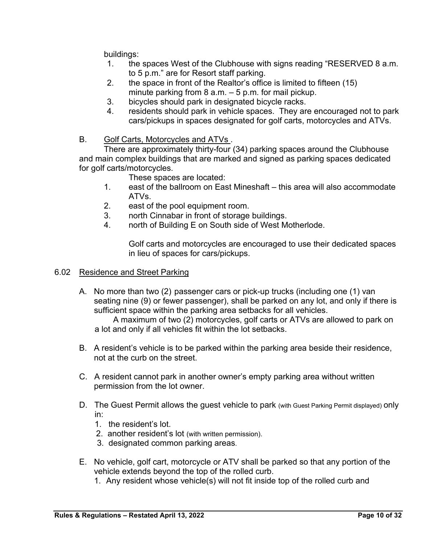buildings:

- 1. the spaces West of the Clubhouse with signs reading "RESERVED 8 a.m. to 5 p.m." are for Resort staff parking.
- 2. the space in front of the Realtor's office is limited to fifteen (15) minute parking from  $8$  a.m.  $-5$  p.m. for mail pickup.
- 3. bicycles should park in designated bicycle racks.
- 4. residents should park in vehicle spaces. They are encouraged not to park cars/pickups in spaces designated for golf carts, motorcycles and ATVs.
- B. Golf Carts, Motorcycles and ATVs .

There are approximately thirty-four (34) parking spaces around the Clubhouse and main complex buildings that are marked and signed as parking spaces dedicated for golf carts/motorcycles.

These spaces are located:

- 1. east of the ballroom on East Mineshaft this area will also accommodate ATVs.
- 2. east of the pool equipment room.
- 3. north Cinnabar in front of storage buildings.
- 4. north of Building E on South side of West Motherlode.

Golf carts and motorcycles are encouraged to use their dedicated spaces in lieu of spaces for cars/pickups.

#### 6.02 Residence and Street Parking

A. No more than two (2) passenger cars or pick-up trucks (including one (1) van seating nine (9) or fewer passenger), shall be parked on any lot, and only if there is sufficient space within the parking area setbacks for all vehicles.

 A maximum of two (2) motorcycles, golf carts or ATVs are allowed to park on a lot and only if all vehicles fit within the lot setbacks.

- B. A resident's vehicle is to be parked within the parking area beside their residence, not at the curb on the street.
- C. A resident cannot park in another owner's empty parking area without written permission from the lot owner.
- D. The Guest Permit allows the guest vehicle to park (with Guest Parking Permit displayed) only in:
	- 1. the resident's lot.
	- 2. another resident's lot (with written permission).
	- 3. designated common parking areas.
- E. No vehicle, golf cart, motorcycle or ATV shall be parked so that any portion of the vehicle extends beyond the top of the rolled curb.
	- 1. Any resident whose vehicle(s) will not fit inside top of the rolled curb and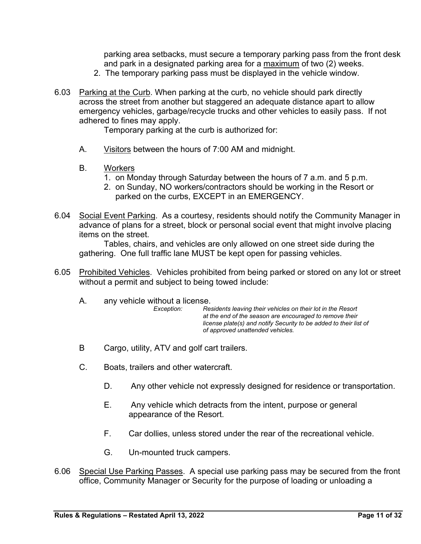parking area setbacks, must secure a temporary parking pass from the front desk and park in a designated parking area for a maximum of two (2) weeks.

- 2. The temporary parking pass must be displayed in the vehicle window.
- 6.03 Parking at the Curb. When parking at the curb, no vehicle should park directly across the street from another but staggered an adequate distance apart to allow emergency vehicles, garbage/recycle trucks and other vehicles to easily pass. If not adhered to fines may apply.

Temporary parking at the curb is authorized for:

- A. Visitors between the hours of 7:00 AM and midnight.
- B. Workers
	- 1. on Monday through Saturday between the hours of 7 a.m. and 5 p.m.
	- 2. on Sunday, NO workers/contractors should be working in the Resort or parked on the curbs, EXCEPT in an EMERGENCY.
- 6.04 Social Event Parking. As a courtesy, residents should notify the Community Manager in advance of plans for a street, block or personal social event that might involve placing items on the street.

Tables, chairs, and vehicles are only allowed on one street side during the gathering. One full traffic lane MUST be kept open for passing vehicles.

- 6.05 Prohibited Vehicles. Vehicles prohibited from being parked or stored on any lot or street without a permit and subject to being towed include:
	- A. any vehicle without a license.<br>*Exception:* Re

*Exception: Residents leaving their vehicles on their lot in the Resort at the end of the season are encouraged to remove their license plate(s) and notify Security to be added to their list of of approved unattended vehicles.* 

- B Cargo, utility, ATV and golf cart trailers.
- C. Boats, trailers and other watercraft.
	- D. Any other vehicle not expressly designed for residence or transportation.
	- E. Any vehicle which detracts from the intent, purpose or general appearance of the Resort.
	- F. Car dollies, unless stored under the rear of the recreational vehicle.
	- G. Un-mounted truck campers.
- 6.06 Special Use Parking Passes. A special use parking pass may be secured from the front office, Community Manager or Security for the purpose of loading or unloading a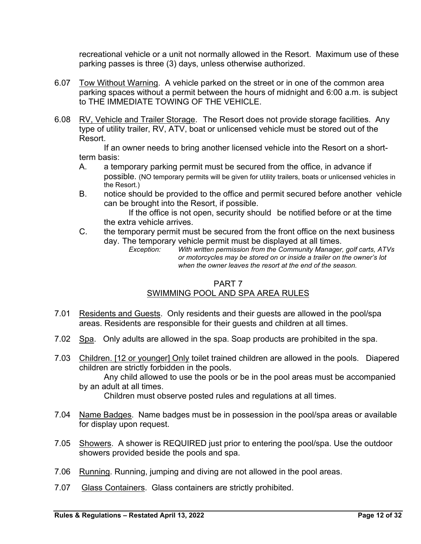recreational vehicle or a unit not normally allowed in the Resort. Maximum use of these parking passes is three (3) days, unless otherwise authorized.

- 6.07 Tow Without Warning. A vehicle parked on the street or in one of the common area parking spaces without a permit between the hours of midnight and 6:00 a.m. is subject to THE IMMEDIATE TOWING OF THE VEHICLE.
- 6.08 RV, Vehicle and Trailer Storage. The Resort does not provide storage facilities. Any type of utility trailer, RV, ATV, boat or unlicensed vehicle must be stored out of the Resort.

If an owner needs to bring another licensed vehicle into the Resort on a shortterm basis:

- A. a temporary parking permit must be secured from the office, in advance if possible. (NO temporary permits will be given for utility trailers, boats or unlicensed vehicles in the Resort.)
- B. notice should be provided to the office and permit secured before another vehicle can be brought into the Resort, if possible.

If the office is not open, security should be notified before or at the time the extra vehicle arrives.

C. the temporary permit must be secured from the front office on the next business day. The temporary vehicle permit must be displayed at all times.<br>Exception: With written permission from the Community Manager.

*With written permission from the Community Manager, golf carts, ATVs or motorcycles may be stored on or inside a trailer on the owner's lot when the owner leaves the resort at the end of the season.*

#### PART 7 SWIMMING POOL AND SPA AREA RULES

- 7.01 Residents and Guests. Only residents and their guests are allowed in the pool/spa areas. Residents are responsible for their guests and children at all times.
- 7.02 Spa. Only adults are allowed in the spa. Soap products are prohibited in the spa.
- 7.03 Children. [12 or younger] Only toilet trained children are allowed in the pools. Diapered children are strictly forbidden in the pools.

Any child allowed to use the pools or be in the pool areas must be accompanied by an adult at all times.

Children must observe posted rules and regulations at all times.

- 7.04 Name Badges. Name badges must be in possession in the pool/spa areas or available for display upon request.
- 7.05 Showers. A shower is REQUIRED just prior to entering the pool/spa. Use the outdoor showers provided beside the pools and spa.
- 7.06 Running. Running, jumping and diving are not allowed in the pool areas.
- 7.07 Glass Containers. Glass containers are strictly prohibited.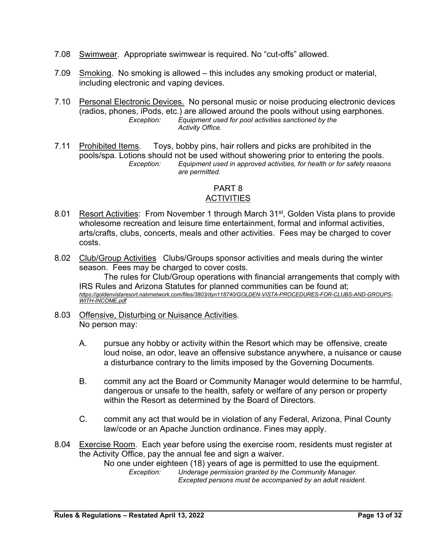- 7.08 Swimwear. Appropriate swimwear is required. No "cut-offs" allowed.
- 7.09 Smoking. No smoking is allowed this includes any smoking product or material, including electronic and vaping devices.
- 7.10 Personal Electronic Devices. No personal music or noise producing electronic devices (radios, phones, iPods, etc.) are allowed around the pools without using earphones.<br>Exception: Equipment used for pool activities sanctioned by the *Exception: Equipment used for pool activities sanctioned by the Activity Office.*
- 7.11 Prohibited Items. Toys, bobby pins, hair rollers and picks are prohibited in the pools/spa. Lotions should not be used without showering prior to entering the pools. *Exception: Equipment used in approved activities, for health or for safety reasons are permitted.*

#### PART 8 **ACTIVITIES**

- 8.01 Resort Activities: From November 1 through March 31<sup>st</sup>, Golden Vista plans to provide wholesome recreation and leisure time entertainment, formal and informal activities, arts/crafts, clubs, concerts, meals and other activities. Fees may be charged to cover costs.
- 8.02 Club/Group Activities Clubs/Groups sponsor activities and meals during the winter season. Fees may be charged to cover costs.

The rules for Club/Group operations with financial arrangements that comply with IRS Rules and Arizona Statutes for planned communities can be found at; *https://goldenvistaresort.nabrnetwork.com/files/3803/dyn118740/GOLDEN-VISTA-PROCEDURES-FOR-CLUBS-AND-GROUPS-WITH-INCOME.pdf*

- 8.03 Offensive, Disturbing or Nuisance Activities. No person may:
	- A. pursue any hobby or activity within the Resort which may be offensive, create loud noise, an odor, leave an offensive substance anywhere, a nuisance or cause a disturbance contrary to the limits imposed by the Governing Documents.
	- B. commit any act the Board or Community Manager would determine to be harmful, dangerous or unsafe to the health, safety or welfare of any person or property within the Resort as determined by the Board of Directors.
	- C. commit any act that would be in violation of any Federal, Arizona, Pinal County law/code or an Apache Junction ordinance. Fines may apply.
- 8.04 Exercise Room. Each year before using the exercise room, residents must register at the Activity Office, pay the annual fee and sign a waiver.

No one under eighteen (18) years of age is permitted to use the equipment.<br>Exception: Underage permission granted by the Community Manager. *Exception: Underage permission granted by the Community Manager. Excepted persons must be accompanied by an adult resident.*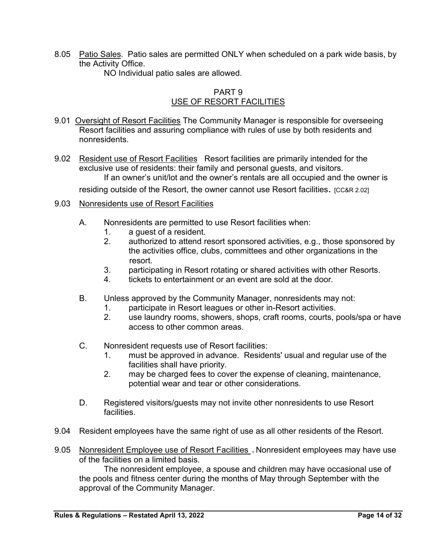8.05 Patio Sales. Patio sales are permitted ONLY when scheduled on a park wide basis, by the Activity Office.

NO Individual patio sales are allowed.

## PART 9 USE OF RESORT FACILITIES

- 9.01 Oversight of Resort Facilities The Community Manager is responsible for overseeing Resort facilities and assuring compliance with rules of use by both residents and nonresidents.
- 9.02 Resident use of Resort Facilities Resort facilities are primarily intended for the exclusive use of residents: their family and personal guests, and visitors. If an owner's unit/lot and the owner's rentals are all occupied and the owner is

residing outside of the Resort, the owner cannot use Resort facilities. [CC&R 2.02]

- 9.03 Nonresidents use of Resort Facilities
	- A. Nonresidents are permitted to use Resort facilities when:
		- 1. a guest of a resident.
		- 2. authorized to attend resort sponsored activities, e.g., those sponsored by the activities office, clubs, committees and other organizations in the resort.
		- 3. participating in Resort rotating or shared activities with other Resorts.
		- 4. tickets to entertainment or an event are sold at the door.
	- B. Unless approved by the Community Manager, nonresidents may not:
		- 1. participate in Resort leagues or other in-Resort activities.
		- 2. use laundry rooms, showers, shops, craft rooms, courts, pools/spa or have access to other common areas.
	- C. Nonresident requests use of Resort facilities:
		- 1. must be approved in advance. Residents' usual and regular use of the facilities shall have priority.
		- 2. may be charged fees to cover the expense of cleaning, maintenance, potential wear and tear or other considerations.
	- D. Registered visitors/guests may not invite other nonresidents to use Resort facilities.
- 9.04 Resident employees have the same right of use as all other residents of the Resort.
- 9.05 Nonresident Employee use of Resort Facilities, Nonresident employees may have use of the facilities on a limited basis.

The nonresident employee, a spouse and children may have occasional use of the pools and fitness center during the months of May through September with the approval of the Community Manager.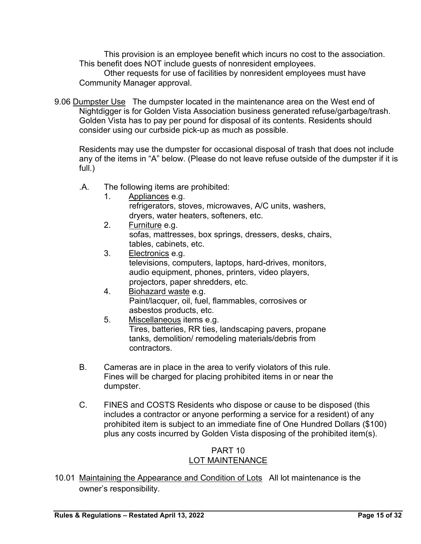This provision is an employee benefit which incurs no cost to the association. This benefit does NOT include guests of nonresident employees.

Other requests for use of facilities by nonresident employees must have Community Manager approval.

9.06 Dumpster Use The dumpster located in the maintenance area on the West end of Nightdigger is for Golden Vista Association business generated refuse/garbage/trash. Golden Vista has to pay per pound for disposal of its contents. Residents should consider using our curbside pick-up as much as possible.

Residents may use the dumpster for occasional disposal of trash that does not include any of the items in "A" below. (Please do not leave refuse outside of the dumpster if it is full.)

- .A. The following items are prohibited:
	- 1. Appliances e.g. refrigerators, stoves, microwaves, A/C units, washers, dryers, water heaters, softeners, etc.<br>2. Furniture e.g.
	- Furniture e.g. sofas, mattresses, box springs, dressers, desks, chairs, tables, cabinets, etc.
	- 3. Electronics e.g. televisions, computers, laptops, hard-drives, monitors, audio equipment, phones, printers, video players, projectors, paper shredders, etc.
	- 4. Biohazard waste e.g. Paint/lacquer, oil, fuel, flammables, corrosives or asbestos products, etc.
	- 5. Miscellaneous items e.g. Tires, batteries, RR ties, landscaping pavers, propane tanks, demolition/ remodeling materials/debris from contractors.
- B. Cameras are in place in the area to verify violators of this rule. Fines will be charged for placing prohibited items in or near the dumpster.
- C. FINES and COSTS Residents who dispose or cause to be disposed (this includes a contractor or anyone performing a service for a resident) of any prohibited item is subject to an immediate fine of One Hundred Dollars (\$100) plus any costs incurred by Golden Vista disposing of the prohibited item(s).

#### PART 10 LOT MAINTENANCE

10.01 Maintaining the Appearance and Condition of Lots All lot maintenance is the owner's responsibility.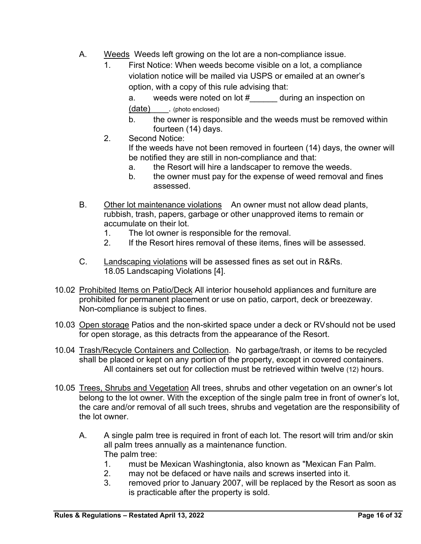- A. Weeds Weeds left growing on the lot are a non-compliance issue.
	- 1. First Notice: When weeds become visible on a lot, a compliance violation notice will be mailed via USPS or emailed at an owner's option, with a copy of this rule advising that:

a. weeds were noted on lot # during an inspection on (date) . (photo enclosed)

- b. the owner is responsible and the weeds must be removed within fourteen (14) days.
- 2. Second Notice:

If the weeds have not been removed in fourteen (14) days, the owner will be notified they are still in non-compliance and that:

- a. the Resort will hire a landscaper to remove the weeds.
- b. the owner must pay for the expense of weed removal and fines assessed.
- B. Other lot maintenance violations An owner must not allow dead plants, rubbish, trash, papers, garbage or other unapproved items to remain or accumulate on their lot.
	- 1. The lot owner is responsible for the removal.
	- 2. If the Resort hires removal of these items, fines will be assessed.
- C. Landscaping violations will be assessed fines as set out in R&Rs. 18.05 Landscaping Violations [4].
- 10.02 Prohibited Items on Patio/Deck All interior household appliances and furniture are prohibited for permanent placement or use on patio, carport, deck or breezeway. Non-compliance is subject to fines.
- 10.03 Open storage Patios and the non-skirted space under a deck or RVshould not be used for open storage, as this detracts from the appearance of the Resort.
- 10.04 Trash/Recycle Containers and Collection. No garbage/trash, or items to be recycled shall be placed or kept on any portion of the property, except in covered containers. All containers set out for collection must be retrieved within twelve (12) hours.
- 10.05 Trees, Shrubs and Vegetation All trees, shrubs and other vegetation on an owner's lot belong to the lot owner. With the exception of the single palm tree in front of owner's lot, the care and/or removal of all such trees, shrubs and vegetation are the responsibility of the lot owner.
	- A. A single palm tree is required in front of each lot. The resort will trim and/or skin all palm trees annually as a maintenance function. The palm tree:
		- 1. must be Mexican Washingtonia, also known as "Mexican Fan Palm.
		- 2. may not be defaced or have nails and screws inserted into it.
		- 3. removed prior to January 2007, will be replaced by the Resort as soon as is practicable after the property is sold.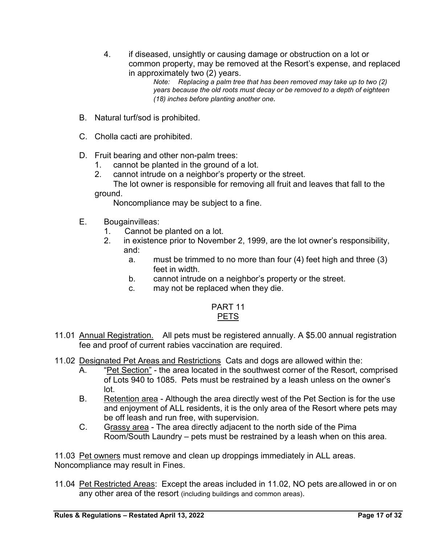4. if diseased, unsightly or causing damage or obstruction on a lot or common property, may be removed at the Resort's expense, and replaced in approximately two (2) years.

*Note: Replacing a palm tree that has been removed may take up to two (2) years because the old roots must decay or be removed to a depth of eighteen (18) inches before planting another one.*

- B. Natural turf/sod is prohibited.
- C. Cholla cacti are prohibited.
- D. Fruit bearing and other non-palm trees:
	- 1. cannot be planted in the ground of a lot.
	- 2. cannot intrude on a neighbor's property or the street.
	- The lot owner is responsible for removing all fruit and leaves that fall to the ground.

Noncompliance may be subject to a fine.

- E. Bougainvilleas:
	- 1. Cannot be planted on a lot.
	- 2. in existence prior to November 2, 1999, are the lot owner's responsibility, and:
		- a. must be trimmed to no more than four (4) feet high and three (3) feet in width.
		- b. cannot intrude on a neighbor's property or the street.
		- c. may not be replaced when they die.

#### PART 11 PETS

- 11.01 Annual Registration. All pets must be registered annually. A \$5.00 annual registration fee and proof of current rabies vaccination are required.
- 11.02 Designated Pet Areas and Restrictions Cats and dogs are allowed within the:
	- A. "Pet Section" the area located in the southwest corner of the Resort, comprised of Lots 940 to 1085. Pets must be restrained by a leash unless on the owner's lot.
	- B. Retention area Although the area directly west of the Pet Section is for the use and enjoyment of ALL residents, it is the only area of the Resort where pets may be off leash and run free, with supervision.
	- C. Grassy area The area directly adjacent to the north side of the Pima Room/South Laundry – pets must be restrained by a leash when on this area.

11.03 Pet owners must remove and clean up droppings immediately in ALL areas. Noncompliance may result in Fines.

11.04 Pet Restricted Areas: Except the areas included in 11.02, NO pets are allowed in or on any other area of the resort (including buildings and common areas).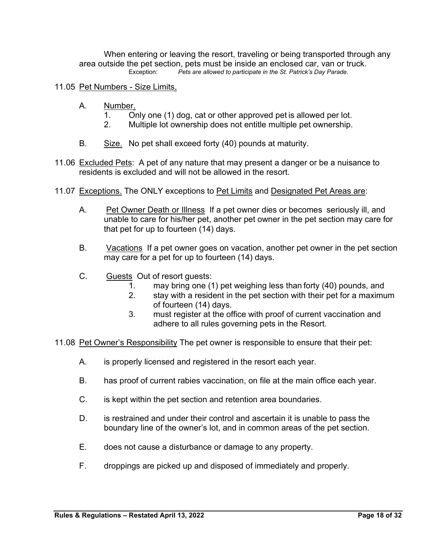When entering or leaving the resort, traveling or being transported through any area outside the pet section, pets must be inside an enclosed car, van or truck.<br>Exception: Pets are allowed to participate in the St. Patrick's Day Parade. Pets are allowed to participate in the St. Patrick's Day Parade.

#### 11.05 Pet Numbers - Size Limits.

- A. Number.
	- 1. Only one (1) dog, cat or other approved pet is allowed per lot.
	- 2. Multiple lot ownership does not entitle multiple pet ownership.
- B. Size. No pet shall exceed forty (40) pounds at maturity.
- 11.06 Excluded Pets: A pet of any nature that may present a danger or be a nuisance to residents is excluded and will not be allowed in the resort.
- 11.07 Exceptions. The ONLY exceptions to Pet Limits and Designated Pet Areas are:
	- A. Pet Owner Death or Illness If a pet owner dies or becomes seriously ill, and unable to care for his/her pet, another pet owner in the pet section may care for that pet for up to fourteen (14) days.
	- B. Vacations If a pet owner goes on vacation, another pet owner in the pet section may care for a pet for up to fourteen (14) days.
	- C. Guests Out of resort guests:
		- 1. may bring one (1) pet weighing less than forty (40) pounds, and
		- 2. stay with a resident in the pet section with their pet for a maximum of fourteen (14) days.
		- 3. must register at the office with proof of current vaccination and adhere to all rules governing pets in the Resort.
- 11.08 Pet Owner's Responsibility The pet owner is responsible to ensure that their pet:
	- A. is properly licensed and registered in the resort each year.
	- B. has proof of current rabies vaccination, on file at the main office each year.
	- C. is kept within the pet section and retention area boundaries.
	- D. is restrained and under their control and ascertain it is unable to pass the boundary line of the owner's lot, and in common areas of the pet section.
	- E. does not cause a disturbance or damage to any property.
	- F. droppings are picked up and disposed of immediately and properly.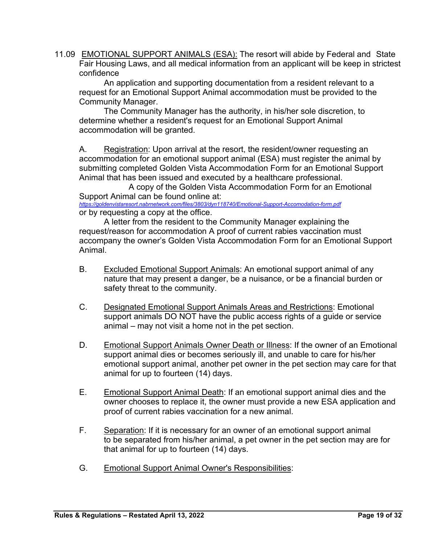11.09 EMOTIONAL SUPPORT ANIMALS (ESA): The resort will abide by Federal and State Fair Housing Laws, and all medical information from an applicant will be keep in strictest confidence

An application and supporting documentation from a resident relevant to a request for an Emotional Support Animal accommodation must be provided to the Community Manager.

The Community Manager has the authority, in his/her sole discretion, to determine whether a resident's request for an Emotional Support Animal accommodation will be granted.

A. Registration: Upon arrival at the resort, the resident/owner requesting an accommodation for an emotional support animal (ESA) must register the animal by submitting completed Golden Vista Accommodation Form for an Emotional Support Animal that has been issued and executed by a healthcare professional.

A copy of the Golden Vista Accommodation Form for an Emotional Support Animal can be found online at: *https://goldenvistaresort.nabrnetwork.com/files/3803/dyn118740/Emotional-Support-Accomodation-form.pdf*

or by requesting a copy at the office.

A letter from the resident to the Community Manager explaining the request/reason for accommodation A proof of current rabies vaccination must accompany the owner's Golden Vista Accommodation Form for an Emotional Support Animal.

- B. Excluded Emotional Support Animals: An emotional support animal of any nature that may present a danger, be a nuisance, or be a financial burden or safety threat to the community.
- C. Designated Emotional Support Animals Areas and Restrictions: Emotional support animals DO NOT have the public access rights of a guide or service animal – may not visit a home not in the pet section.
- D. Emotional Support Animals Owner Death or Illness: If the owner of an Emotional support animal dies or becomes seriously ill, and unable to care for his/her emotional support animal, another pet owner in the pet section may care for that animal for up to fourteen (14) days.
- E. Emotional Support Animal Death: If an emotional support animal dies and the owner chooses to replace it, the owner must provide a new ESA application and proof of current rabies vaccination for a new animal.
- F. Separation: If it is necessary for an owner of an emotional support animal to be separated from his/her animal, a pet owner in the pet section may are for that animal for up to fourteen (14) days.
- G. Emotional Support Animal Owner's Responsibilities: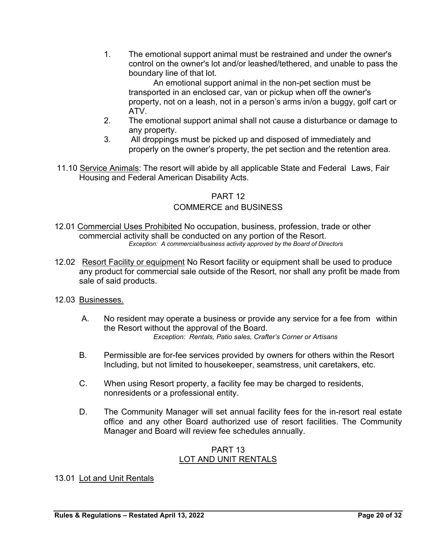1. The emotional support animal must be restrained and under the owner's control on the owner's lot and/or leashed/tethered, and unable to pass the boundary line of that lot.

An emotional support animal in the non-pet section must be transported in an enclosed car, van or pickup when off the owner's property, not on a leash, not in a person's arms in/on a buggy, golf cart or ATV.

- 2. The emotional support animal shall not cause a disturbance or damage to any property.
- 3. All droppings must be picked up and disposed of immediately and properly on the owner's property, the pet section and the retention area.
- 11.10 Service Animals: The resort will abide by all applicable State and Federal Laws, Fair Housing and Federal American Disability Acts.

#### PART 12

#### COMMERCE and BUSINESS

- 12.01 Commercial Uses Prohibited No occupation, business, profession, trade or other commercial activity shall be conducted on any portion of the Resort. *Exception: A commercial/business activity approved by the Board of Directors*
- 12.02 Resort Facility or equipment No Resort facility or equipment shall be used to produce any product for commercial sale outside of the Resort, nor shall any profit be made from sale of said products.
- 12.03 Businesses.
	- A. No resident may operate a business or provide any service for a fee from within the Resort without the approval of the Board. *Exception: Rentals, Patio sales, Crafter's Corner or Artisans*
	- B. Permissible are for-fee services provided by owners for others within the Resort Including, but not limited to housekeeper, seamstress, unit caretakers, etc.
	- C. When using Resort property, a facility fee may be charged to residents, nonresidents or a professional entity.
	- D. The Community Manager will set annual facility fees for the in-resort real estate office and any other Board authorized use of resort facilities. The Community Manager and Board will review fee schedules annually.

#### PART 13 LOT AND UNIT RENTALS

#### 13.01 Lot and Unit Rentals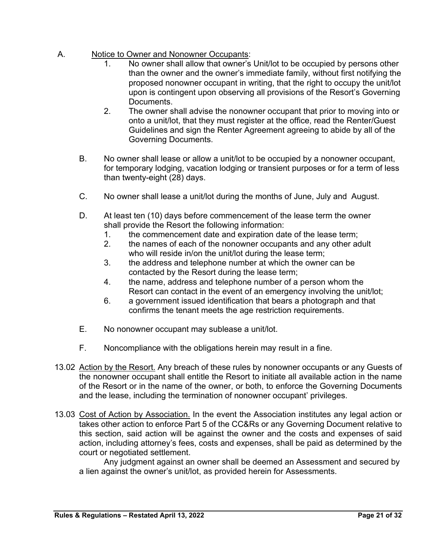- A. Notice to Owner and Nonowner Occupants:
	- 1. No owner shall allow that owner's Unit/lot to be occupied by persons other than the owner and the owner's immediate family, without first notifying the proposed nonowner occupant in writing, that the right to occupy the unit/lot upon is contingent upon observing all provisions of the Resort's Governing Documents.
	- 2. The owner shall advise the nonowner occupant that prior to moving into or onto a unit/lot, that they must register at the office, read the Renter/Guest Guidelines and sign the Renter Agreement agreeing to abide by all of the Governing Documents.
	- B. No owner shall lease or allow a unit/lot to be occupied by a nonowner occupant, for temporary lodging, vacation lodging or transient purposes or for a term of less than twenty-eight (28) days.
	- C. No owner shall lease a unit/lot during the months of June, July and August.
	- D. At least ten (10) days before commencement of the lease term the owner shall provide the Resort the following information:
		- 1. the commencement date and expiration date of the lease term;
		- 2. the names of each of the nonowner occupants and any other adult who will reside in/on the unit/lot during the lease term;
		- 3. the address and telephone number at which the owner can be contacted by the Resort during the lease term;
		- 4. the name, address and telephone number of a person whom the Resort can contact in the event of an emergency involving the unit/lot;
		- 6. a government issued identification that bears a photograph and that confirms the tenant meets the age restriction requirements.
	- E. No nonowner occupant may sublease a unit/lot.
	- F. Noncompliance with the obligations herein may result in a fine.
- 13.02 Action by the Resort. Any breach of these rules by nonowner occupants or any Guests of the nonowner occupant shall entitle the Resort to initiate all available action in the name of the Resort or in the name of the owner, or both, to enforce the Governing Documents and the lease, including the termination of nonowner occupant' privileges.
- 13.03 Cost of Action by Association. In the event the Association institutes any legal action or takes other action to enforce Part 5 of the CC&Rs or any Governing Document relative to this section, said action will be against the owner and the costs and expenses of said action, including attorney's fees, costs and expenses, shall be paid as determined by the court or negotiated settlement.

Any judgment against an owner shall be deemed an Assessment and secured by a lien against the owner's unit/lot, as provided herein for Assessments.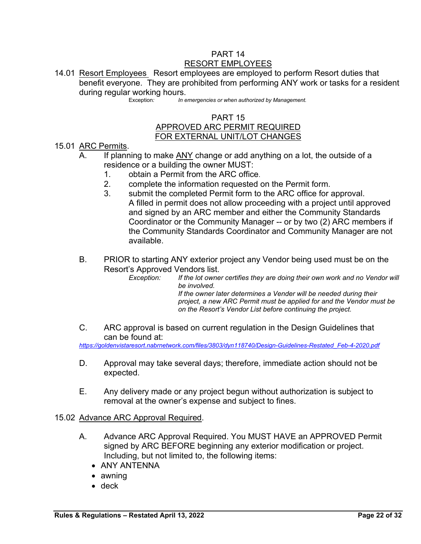#### PART 14 RESORT EMPLOYEES

14.01 Resort Employees Resort employees are employed to perform Resort duties that benefit everyone. They are prohibited from performing ANY work or tasks for a resident during regular working hours.

In emergencies or when authorized by Management.

#### PART 15 APPROVED ARC PERMIT REQUIRED FOR EXTERNAL UNIT/LOT CHANGES

- 15.01 ARC Permits.
	- A. If planning to make ANY change or add anything on a lot, the outside of a residence or a building the owner MUST:
		- 1. obtain a Permit from the ARC office.
		- 2. complete the information requested on the Permit form.
		- 3. submit the completed Permit form to the ARC office for approval. A filled in permit does not allow proceeding with a project until approved and signed by an ARC member and either the Community Standards Coordinator or the Community Manager -- or by two (2) ARC members if the Community Standards Coordinator and Community Manager are not available.
	- B. PRIOR to starting ANY exterior project any Vendor being used must be on the Resort's Approved Vendors list.

*Exception: If the lot owner certifies they are doing their own work and no Vendor will be involved. If the owner later determines a Vender will be needed during their project, a new ARC Permit must be applied for and the Vendor must be* 

*on the Resort's Vendor List before continuing the project.*

C. ARC approval is based on current regulation in the Design Guidelines that can be found at:

*https://goldenvistaresort.nabrnetwork.com/files/3803/dyn118740/Design-Guidelines-Restated\_Feb-4-2020.pdf*

- D. Approval may take several days; therefore, immediate action should not be expected.
- E. Any delivery made or any project begun without authorization is subject to removal at the owner's expense and subject to fines.

#### 15.02 Advance ARC Approval Required.

- A. Advance ARC Approval Required. You MUST HAVE an APPROVED Permit signed by ARC BEFORE beginning any exterior modification or project. Including, but not limited to, the following items:
	- ANY ANTENNA
	- awning
	- deck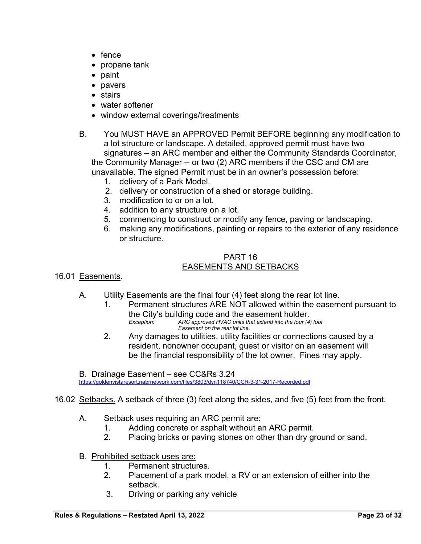- $\bullet$  fence
- $\bullet\,$  propane tank
- paint
- pavers
- stairs
- water softener
- window external coverings/treatments
- B. You MUST HAVE an APPROVED Permit BEFORE beginning any modification to a lot structure or landscape. A detailed, approved permit must have two signatures – an ARC member and either the Community Standards Coordinator, the Community Manager -- or two (2) ARC members if the CSC and CM are unavailable. The signed Permit must be in an owner's possession before:
	- 1. delivery of a Park Model.
	- 2. delivery or construction of a shed or storage building.
	- 3. modification to or on a lot.
	- 4. addition to any structure on a lot.
	- 5. commencing to construct or modify any fence, paving or landscaping.
	- 6. making any modifications, painting or repairs to the exterior of any residence or structure.

#### PART 16 EASEMENTS AND SETBACKS

- 16.01 Easements.
	- A. Utility Easements are the final four (4) feet along the rear lot line.
		- 1. Permanent structures ARE NOT allowed within the easement pursuant to the City's building code and the easement holder.<br>*Exception:* ARC approved HVAC units that extend into the four (4)
			- *Exception: ARC approved HVAC units that extend into the four (4) foot Easement on the rear lot line.*
		- 2. Any damages to utilities, utility facilities or connections caused by a resident, nonowner occupant, guest or visitor on an easement will be the financial responsibility of the lot owner. Fines may apply.

B. Drainage Easement – see CC&Rs 3.24

https://goldenvistaresort.nabrnetwork.com/files/3803/dyn118740/CCR-3-31-2017-Recorded.pdf

- 16.02 Setbacks. A setback of three (3) feet along the sides, and five (5) feet from the front.
	- A. Setback uses requiring an ARC permit are:
		- 1. Adding concrete or asphalt without an ARC permit.
		- 2. Placing bricks or paving stones on other than dry ground or sand.
	- B. Prohibited setback uses are:
		- 1. Permanent structures.
		- 2. Placement of a park model, a RV or an extension of either into the setback.
		- 3. Driving or parking any vehicle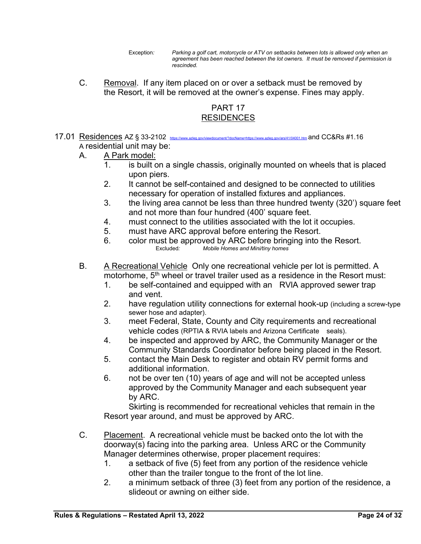- Exception*: Parking a golf cart, motorcycle or ATV on setbacks between lots is allowed only when an agreement has been reached between the lot owners. It must be removed if permission is rescinded.*
- C. Removal. If any item placed on or over a setback must be removed by the Resort, it will be removed at the owner's expense. Fines may apply.

## PART 17 RESIDENCES

 $17.01$  Residences AZ § 33-2102 https://www.azleg.gov/viewdocument/?docName=https://www.azleg.gov/ars/41/04001.htm and CC&Rs #1.16 A residential unit may be:

#### A. A Park model:

- 1. is built on a single chassis, originally mounted on wheels that is placed upon piers.
- 2. It cannot be self-contained and designed to be connected to utilities necessary for operation of installed fixtures and appliances.
- 3. the living area cannot be less than three hundred twenty (320') square feet and not more than four hundred (400' square feet.
- 4. must connect to the utilities associated with the lot it occupies.
- 5. must have ARC approval before entering the Resort.
- 6. color must be approved by ARC before bringing into the Resort.<br>Excluded: Mobile Homes and Mini/tiny homes Mobile Homes and Mini/tiny homes
- B. A Recreational Vehicle Only one recreational vehicle per lot is permitted. A motorhome,  $5<sup>th</sup>$  wheel or travel trailer used as a residence in the Resort must:
	- 1. be self-contained and equipped with an RVlA approved sewer trap and vent.
	- 2. have regulation utility connections for external hook-up (including a screw-type sewer hose and adapter).
	- 3. meet Federal, State, County and City requirements and recreational vehicle codes (RPTIA & RVIA labels and Arizona Certificate seals).
	- 4. be inspected and approved by ARC, the Community Manager or the Community Standards Coordinator before being placed in the Resort.
	- 5. contact the Main Desk to register and obtain RV permit forms and additional information.
	- 6. not be over ten (10) years of age and will not be accepted unless approved by the Community Manager and each subsequent year by ARC.

Skirting is recommended for recreational vehicles that remain in the Resort year around, and must be approved by ARC.

- C. Placement. A recreational vehicle must be backed onto the lot with the doorway(s) facing into the parking area. Unless ARC or the Community Manager determines otherwise, proper placement requires:
	- 1. a setback of five (5) feet from any portion of the residence vehicle other than the trailer tongue to the front of the lot line.
	- 2. a minimum setback of three (3) feet from any portion of the residence, a slideout or awning on either side.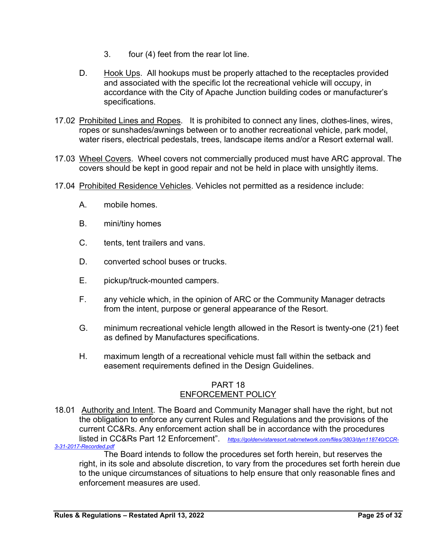- 3. four (4) feet from the rear lot line.
- D. Hook Ups. All hookups must be properly attached to the receptacles provided and associated with the specific lot the recreational vehicle will occupy, in accordance with the City of Apache Junction building codes or manufacturer's specifications.
- 17.02 Prohibited Lines and Ropes. It is prohibited to connect any lines, clothes-lines, wires, ropes or sunshades/awnings between or to another recreational vehicle, park model, water risers, electrical pedestals, trees, landscape items and/or a Resort external wall.
- 17.03 Wheel Covers. Wheel covers not commercially produced must have ARC approval. The covers should be kept in good repair and not be held in place with unsightly items.
- 17.04 Prohibited Residence Vehicles. Vehicles not permitted as a residence include:
	- A. mobile homes.
	- B. mini/tiny homes
	- C. tents, tent trailers and vans.
	- D. converted school buses or trucks.
	- E. pickup/truck-mounted campers.
	- F. any vehicle which, in the opinion of ARC or the Community Manager detracts from the intent, purpose or general appearance of the Resort.
	- G. minimum recreational vehicle length allowed in the Resort is twenty-one (21) feet as defined by Manufactures specifications.
	- H. maximum length of a recreational vehicle must fall within the setback and easement requirements defined in the Design Guidelines.

#### PART 18 ENFORCEMENT POLICY

18.01 Authority and Intent. The Board and Community Manager shall have the right, but not the obligation to enforce any current Rules and Regulations and the provisions of the current CC&Rs. Any enforcement action shall be in accordance with the procedures listed in CC&Rs Part 12 Enforcement". https://goldenvistaresort.nabrnetwork.com/files/3803/dyn118740/CCR-<br>7-Recorded.pdf 3-31-2017-Re

The Board intends to follow the procedures set forth herein, but reserves the right, in its sole and absolute discretion, to vary from the procedures set forth herein due to the unique circumstances of situations to help ensure that only reasonable fines and enforcement measures are used.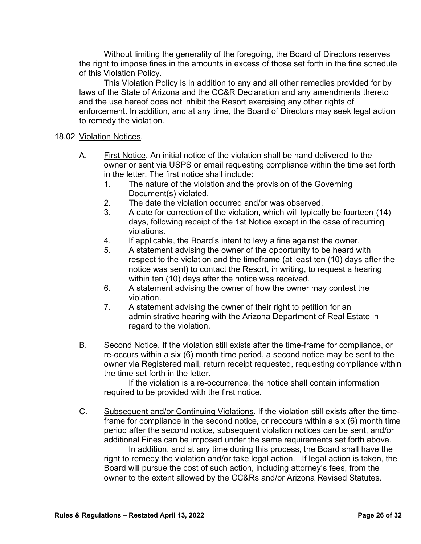Without limiting the generality of the foregoing, the Board of Directors reserves the right to impose fines in the amounts in excess of those set forth in the fine schedule of this Violation Policy.

This Violation Policy is in addition to any and all other remedies provided for by laws of the State of Arizona and the CC&R Declaration and any amendments thereto and the use hereof does not inhibit the Resort exercising any other rights of enforcement. In addition, and at any time, the Board of Directors may seek legal action to remedy the violation.

#### 18.02 Violation Notices.

- A. First Notice. An initial notice of the violation shall be hand delivered to the owner or sent via USPS or email requesting compliance within the time set forth in the letter. The first notice shall include:
	- 1. The nature of the violation and the provision of the Governing Document(s) violated.
	- 2. The date the violation occurred and/or was observed.
	- 3. A date for correction of the violation, which will typically be fourteen (14) days, following receipt of the 1st Notice except in the case of recurring violations.
	- 4. If applicable, the Board's intent to levy a fine against the owner.
	- 5. A statement advising the owner of the opportunity to be heard with respect to the violation and the timeframe (at least ten (10) days after the notice was sent) to contact the Resort, in writing, to request a hearing within ten (10) days after the notice was received.
	- 6. A statement advising the owner of how the owner may contest the violation.
	- 7. A statement advising the owner of their right to petition for an administrative hearing with the Arizona Department of Real Estate in regard to the violation.
- B. Second Notice. If the violation still exists after the time-frame for compliance, or re-occurs within a six (6) month time period, a second notice may be sent to the owner via Registered mail, return receipt requested, requesting compliance within the time set forth in the letter.

If the violation is a re-occurrence, the notice shall contain information required to be provided with the first notice.

C. Subsequent and/or Continuing Violations. If the violation still exists after the timeframe for compliance in the second notice, or reoccurs within a six (6) month time period after the second notice, subsequent violation notices can be sent, and/or additional Fines can be imposed under the same requirements set forth above.

In addition, and at any time during this process, the Board shall have the right to remedy the violation and/or take legal action. If legal action is taken, the Board will pursue the cost of such action, including attorney's fees, from the owner to the extent allowed by the CC&Rs and/or Arizona Revised Statutes.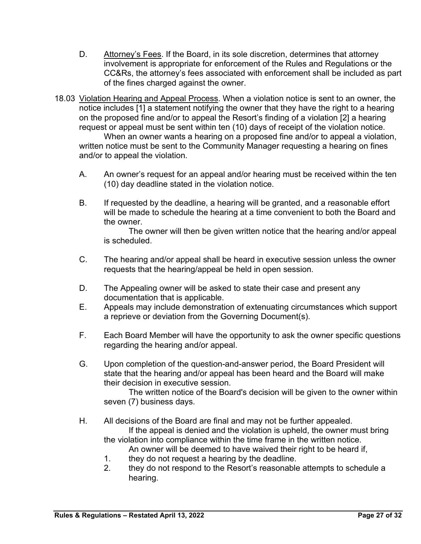- D. Attorney's Fees. If the Board, in its sole discretion, determines that attorney involvement is appropriate for enforcement of the Rules and Regulations or the CC&Rs, the attorney's fees associated with enforcement shall be included as part of the fines charged against the owner.
- 18.03 Violation Hearing and Appeal Process. When a violation notice is sent to an owner, the notice includes [1] a statement notifying the owner that they have the right to a hearing on the proposed fine and/or to appeal the Resort's finding of a violation [2] a hearing request or appeal must be sent within ten (10) days of receipt of the violation notice.

When an owner wants a hearing on a proposed fine and/or to appeal a violation, written notice must be sent to the Community Manager requesting a hearing on fines and/or to appeal the violation.

- A. An owner's request for an appeal and/or hearing must be received within the ten (10) day deadline stated in the violation notice.
- B. If requested by the deadline, a hearing will be granted, and a reasonable effort will be made to schedule the hearing at a time convenient to both the Board and the owner.

The owner will then be given written notice that the hearing and/or appeal is scheduled.

- C. The hearing and/or appeal shall be heard in executive session unless the owner requests that the hearing/appeal be held in open session.
- D. The Appealing owner will be asked to state their case and present any documentation that is applicable.
- E. Appeals may include demonstration of extenuating circumstances which support a reprieve or deviation from the Governing Document(s).
- F. Each Board Member will have the opportunity to ask the owner specific questions regarding the hearing and/or appeal.
- G. Upon completion of the question-and-answer period, the Board President will state that the hearing and/or appeal has been heard and the Board will make their decision in executive session.

The written notice of the Board's decision will be given to the owner within seven (7) business days.

H. All decisions of the Board are final and may not be further appealed.

If the appeal is denied and the violation is upheld, the owner must bring the violation into compliance within the time frame in the written notice.

An owner will be deemed to have waived their right to be heard if,

- 1. they do not request a hearing by the deadline.
- 2. they do not respond to the Resort's reasonable attempts to schedule a hearing.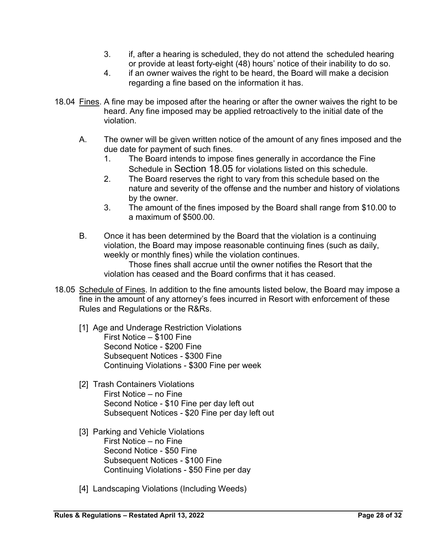- 3. if, after a hearing is scheduled, they do not attend the scheduled hearing or provide at least forty-eight (48) hours' notice of their inability to do so.
- 4. if an owner waives the right to be heard, the Board will make a decision regarding a fine based on the information it has.
- 18.04 Fines. A fine may be imposed after the hearing or after the owner waives the right to be heard. Any fine imposed may be applied retroactively to the initial date of the violation.
	- A. The owner will be given written notice of the amount of any fines imposed and the due date for payment of such fines.
		- 1. The Board intends to impose fines generally in accordance the Fine Schedule in Section 18.05 for violations listed on this schedule.
		- 2. The Board reserves the right to vary from this schedule based on the nature and severity of the offense and the number and history of violations by the owner.
		- 3. The amount of the fines imposed by the Board shall range from \$10.00 to a maximum of \$500.00.
	- B. Once it has been determined by the Board that the violation is a continuing violation, the Board may impose reasonable continuing fines (such as daily, weekly or monthly fines) while the violation continues.

Those fines shall accrue until the owner notifies the Resort that the violation has ceased and the Board confirms that it has ceased.

- 18.05 Schedule of Fines. In addition to the fine amounts listed below, the Board may impose a fine in the amount of any attorney's fees incurred in Resort with enforcement of these Rules and Regulations or the R&Rs.
	- [1] Age and Underage Restriction Violations First Notice – \$100 Fine Second Notice - \$200 Fine Subsequent Notices - \$300 Fine Continuing Violations - \$300 Fine per week
	- [2] Trash Containers Violations First Notice – no Fine Second Notice - \$10 Fine per day left out Subsequent Notices - \$20 Fine per day left out
	- [3] Parking and Vehicle Violations First Notice – no Fine Second Notice - \$50 Fine Subsequent Notices - \$100 Fine Continuing Violations - \$50 Fine per day
	- [4] Landscaping Violations (Including Weeds)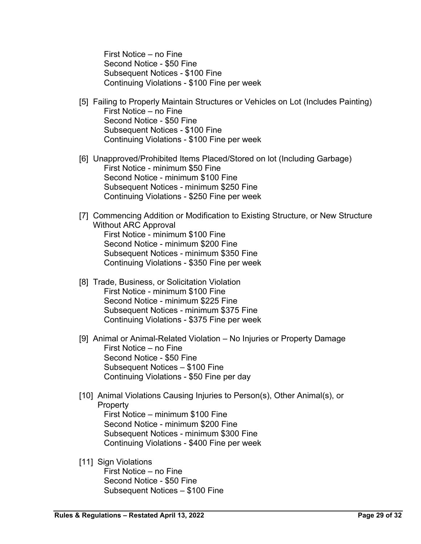First Notice – no Fine Second Notice - \$50 Fine Subsequent Notices - \$100 Fine Continuing Violations - \$100 Fine per week

- [5] Failing to Properly Maintain Structures or Vehicles on Lot (Includes Painting) First Notice – no Fine Second Notice - \$50 Fine Subsequent Notices - \$100 Fine Continuing Violations - \$100 Fine per week
- [6] Unapproved/Prohibited Items Placed/Stored on lot (Including Garbage) First Notice - minimum \$50 Fine Second Notice - minimum \$100 Fine Subsequent Notices - minimum \$250 Fine Continuing Violations - \$250 Fine per week
- [7] Commencing Addition or Modification to Existing Structure, or New Structure Without ARC Approval First Notice - minimum \$100 Fine Second Notice - minimum \$200 Fine Subsequent Notices - minimum \$350 Fine Continuing Violations - \$350 Fine per week
- [8] Trade, Business, or Solicitation Violation First Notice - minimum \$100 Fine Second Notice - minimum \$225 Fine Subsequent Notices - minimum \$375 Fine Continuing Violations - \$375 Fine per week
- [9] Animal or Animal-Related Violation No Injuries or Property Damage First Notice – no Fine Second Notice - \$50 Fine Subsequent Notices – \$100 Fine Continuing Violations - \$50 Fine per day
- [10] Animal Violations Causing Injuries to Person(s), Other Animal(s), or **Property** First Notice – minimum \$100 Fine Second Notice - minimum \$200 Fine Subsequent Notices - minimum \$300 Fine Continuing Violations - \$400 Fine per week
- [11] Sign Violations First Notice – no Fine Second Notice - \$50 Fine Subsequent Notices – \$100 Fine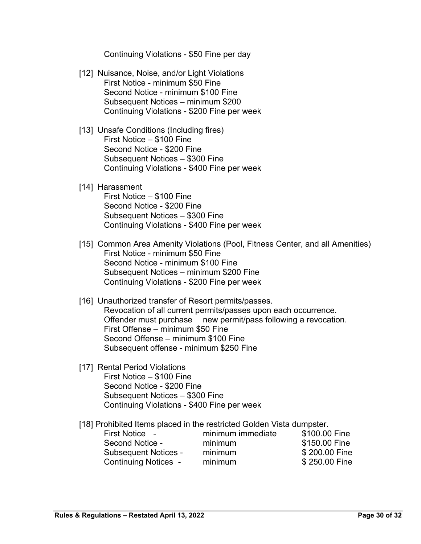Continuing Violations - \$50 Fine per day

- [12] Nuisance, Noise, and/or Light Violations First Notice - minimum \$50 Fine Second Notice - minimum \$100 Fine Subsequent Notices – minimum \$200 Continuing Violations - \$200 Fine per week
- [13] Unsafe Conditions (Including fires) First Notice – \$100 Fine Second Notice - \$200 Fine Subsequent Notices – \$300 Fine Continuing Violations - \$400 Fine per week
- [14] Harassment First Notice – \$100 Fine Second Notice - \$200 Fine Subsequent Notices – \$300 Fine Continuing Violations - \$400 Fine per week
- [15] Common Area Amenity Violations (Pool, Fitness Center, and all Amenities) First Notice - minimum \$50 Fine Second Notice - minimum \$100 Fine Subsequent Notices – minimum \$200 Fine Continuing Violations - \$200 Fine per week
- [16] Unauthorized transfer of Resort permits/passes. Revocation of all current permits/passes upon each occurrence. Offender must purchase new permit/pass following a revocation. First Offense – minimum \$50 Fine Second Offense – minimum \$100 Fine Subsequent offense - minimum \$250 Fine
- [17] Rental Period Violations First Notice – \$100 Fine Second Notice - \$200 Fine Subsequent Notices – \$300 Fine Continuing Violations - \$400 Fine per week
- [18] Prohibited Items placed in the restricted Golden Vista dumpster.

| First Notice -              | minimum immediate | \$100.00 Fine |
|-----------------------------|-------------------|---------------|
| Second Notice -             | minimum           | \$150.00 Fine |
| <b>Subsequent Notices -</b> | minimum           | \$200.00 Fine |
| <b>Continuing Notices -</b> | minimum           | \$250.00 Fine |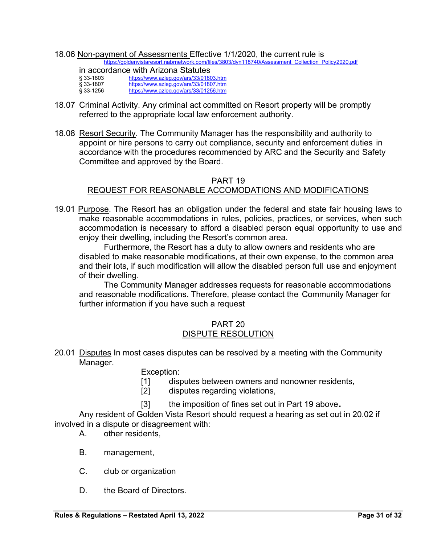18.06 Non-payment of Assessments Effective 1/1/2020, the current rule is https://goldenvistaresort.nabrnetwork.com/files/3803/dyn118740/Assessment\_Collection\_Policy2020.pdf

| in accordance with Arizona Statutes |                                        |  |
|-------------------------------------|----------------------------------------|--|
| $$33-1803$                          | https://www.azleg.gov/ars/33/01803.htm |  |
| \$33-1807                           | https://www.azleg.gov/ars/33/01807.htm |  |
| § 33-1256                           | https://www.azleg.gov/ars/33/01256.htm |  |

- 18.07 Criminal Activity. Any criminal act committed on Resort property will be promptly referred to the appropriate local law enforcement authority.
- 18.08 Resort Security. The Community Manager has the responsibility and authority to appoint or hire persons to carry out compliance, security and enforcement duties in accordance with the procedures recommended by ARC and the Security and Safety Committee and approved by the Board.

## PART 19 REQUEST FOR REASONABLE ACCOMODATIONS AND MODIFICATIONS

19.01 Purpose. The Resort has an obligation under the federal and state fair housing laws to make reasonable accommodations in rules, policies, practices, or services, when such accommodation is necessary to afford a disabled person equal opportunity to use and enjoy their dwelling, including the Resort's common area.

Furthermore, the Resort has a duty to allow owners and residents who are disabled to make reasonable modifications, at their own expense, to the common area and their lots, if such modification will allow the disabled person full use and enjoyment of their dwelling.

 The Community Manager addresses requests for reasonable accommodations and reasonable modifications. Therefore, please contact the Community Manager for further information if you have such a request

#### PART 20 DISPUTE RESOLUTION

20.01 Disputes In most cases disputes can be resolved by a meeting with the Community Manager.

Exception:

- [1] disputes between owners and nonowner residents,
- [2] disputes regarding violations,
- [3] the imposition of fines set out in Part 19 above.

Any resident of Golden Vista Resort should request a hearing as set out in 20.02 if involved in a dispute or disagreement with:

- A. other residents,
- B. management,
- C. club or organization
- D. the Board of Directors.